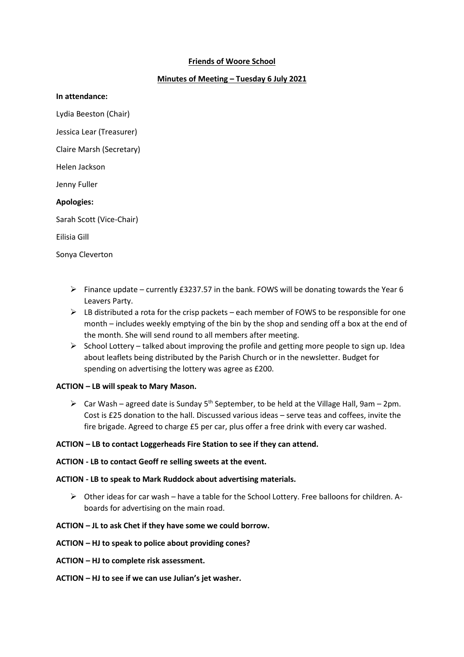# **Friends of Woore School**

# **Minutes of Meeting – Tuesday 6 July 2021**

#### **In attendance:**

Lydia Beeston (Chair)

Jessica Lear (Treasurer)

Claire Marsh (Secretary)

Helen Jackson

Jenny Fuller

### **Apologies:**

Sarah Scott (Vice-Chair)

Eilisia Gill

Sonya Cleverton

- Finance update currently £3237.57 in the bank. FOWS will be donating towards the Year 6 Leavers Party.
- $\triangleright$  LB distributed a rota for the crisp packets each member of FOWS to be responsible for one month – includes weekly emptying of the bin by the shop and sending off a box at the end of the month. She will send round to all members after meeting.
- $\triangleright$  School Lottery talked about improving the profile and getting more people to sign up. Idea about leaflets being distributed by the Parish Church or in the newsletter. Budget for spending on advertising the lottery was agree as £200.

### **ACTION – LB will speak to Mary Mason.**

 $\triangleright$  Car Wash – agreed date is Sunday 5<sup>th</sup> September, to be held at the Village Hall, 9am – 2pm. Cost is £25 donation to the hall. Discussed various ideas – serve teas and coffees, invite the fire brigade. Agreed to charge £5 per car, plus offer a free drink with every car washed.

#### **ACTION – LB to contact Loggerheads Fire Station to see if they can attend.**

#### **ACTION - LB to contact Geoff re selling sweets at the event.**

### **ACTION - LB to speak to Mark Ruddock about advertising materials.**

 $\triangleright$  Other ideas for car wash – have a table for the School Lottery. Free balloons for children. Aboards for advertising on the main road.

#### **ACTION – JL to ask Chet if they have some we could borrow.**

### **ACTION – HJ to speak to police about providing cones?**

- **ACTION – HJ to complete risk assessment.**
- **ACTION – HJ to see if we can use Julian's jet washer.**